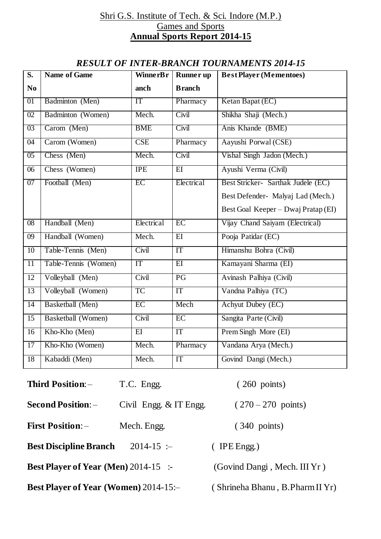#### Shri G.S. Institute of Tech. & Sci. Indore (M.P.) Games and Sports **Annual Sports Report 2014-15**

### *RESULT OF INTER-BRANCH TOURNAMENTS 2014-15*

| $\overline{\mathbf{S}}$ . | <b>Name of Game</b>  | <b>WinnerBr</b> | <b>Runner</b> up | <b>Best Player (Mementoes)</b>      |
|---------------------------|----------------------|-----------------|------------------|-------------------------------------|
| N <sub>0</sub>            |                      | anch            | <b>Branch</b>    |                                     |
| 01                        | Badminton (Men)      | IT              | Pharmacy         | Ketan Bapat (EC)                    |
| 02                        | Badminton (Women)    | Mech.           | Civil            | Shikha Shaji (Mech.)                |
| 03                        | Carom (Men)          | <b>BME</b>      | Civil            | Anis Khande (BME)                   |
| 04                        | Carom (Women)        | CSE             | Pharmacy         | Aayushi Porwal (CSE)                |
| 0 <sub>5</sub>            | Chess (Men)          | Mech.           | Civil            | Vishal Singh Jadon (Mech.)          |
| 06                        | Chess (Women)        | <b>IPE</b>      | $E$ I            | Ayushi Verma (Civil)                |
| 07                        | Football (Men)       | EC              | Electrical       | Best Stricker- Sarthak Judele (EC)  |
|                           |                      |                 |                  | Best Defender- Malyaj Lad (Mech.)   |
|                           |                      |                 |                  | Best Goal Keeper – Dwaj Pratap (EI) |
| 08                        | Handball (Men)       | Electrical      | EC               | Vijay Chand Saiyam (Electrical)     |
| 09                        | Handball (Women)     | Mech.           | EI               | Pooja Patidar (EC)                  |
| $\overline{10}$           | Table-Tennis (Men)   | Civil           | IT               | Himanshu Bohra (Civil)              |
| $\overline{11}$           | Table-Tennis (Women) | IT              | $\overline{EI}$  | Kamayani Sharma (EI)                |
| 12                        | Volleyball (Men)     | Civil           | PG               | Avinash Palhiya (Civil)             |
| 13                        | Volleyball (Women)   | <b>TC</b>       | IT               | Vandna Palhiya (TC)                 |
| 14                        | Basketball (Men)     | EC              | Mech             | <b>Achyut Dubey (EC)</b>            |
| 15                        | Basketball (Women)   | Civil           | EC               | Sangita Parte (Civil)               |
| $\overline{16}$           | Kho-Kho (Men)        | $\overline{EI}$ | IT               | Prem Singh More (EI)                |
| 17                        | Kho-Kho (Women)      | Mech.           | Pharmacy         | Vandana Arya (Mech.)                |
| 18                        | Kabaddi (Men)        | Mech.           | IT               | Govind Dangi (Mech.)                |

| Third Position: -                            | T.C. Engg.             | $(260 \text{ points})$          |
|----------------------------------------------|------------------------|---------------------------------|
| <b>Second Position:</b> -                    | Civil Engg. & IT Engg. | $(270-270 \text{ points})$      |
| <b>First Position:</b> -                     | Mech. Engg.            | $(340 \text{ points})$          |
| <b>Best Discipline Branch</b>                | $2014 - 15$ :-         | $($ IPE Engg.)                  |
| <b>Best Player of Year (Men)</b> 2014-15 :-  |                        | (Govind Dangi, Mech. III Yr)    |
| <b>Best Player of Year (Women)</b> 2014-15:- |                        | (Shrineha Bhanu, B.Pharm II Yr) |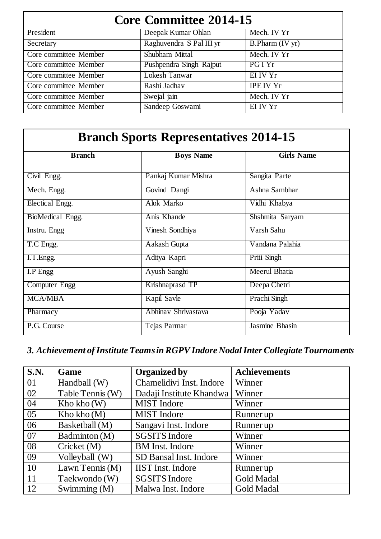| <b>Core Committee 2014-15</b> |                          |                    |  |  |
|-------------------------------|--------------------------|--------------------|--|--|
| President                     | Deepak Kumar Ohlan       | Mech. IV Yr        |  |  |
| Secretary                     | Raghuvendra S Pal III yr | $B.$ Pharm (IV yr) |  |  |
| Core committee Member         | Shubham Mittal           | Mech. IV Yr        |  |  |
| Core committee Member         | Pushpendra Singh Rajput  | PGI Yr             |  |  |
| Core committee Member         | Lokesh Tanwar            | EI IV Yr           |  |  |
| Core committee Member         | Rashi Jadhav             | <b>IPE IV Yr</b>   |  |  |
| Core committee Member         | Swejal jain              | Mech. IV Yr        |  |  |
| Core committee Member         | Sandeep Goswami          | EI IV Yr           |  |  |

| <b>Branch Sports Representatives 2014-15</b> |                     |                   |  |  |
|----------------------------------------------|---------------------|-------------------|--|--|
| <b>B</b> ranch                               | <b>Boys Name</b>    | <b>Girls Name</b> |  |  |
| Civil Engg.                                  | Pankaj Kumar Mishra | Sangita Parte     |  |  |
| Mech. Engg.                                  | Govind Dangi        | Ashna Sambhar     |  |  |
| Electical Engg.                              | Alok Marko          | Vidhi Khabya      |  |  |
| BioMedical Engg.                             | Anis Khande         | Shshmita Saryam   |  |  |
| Instru. Engg                                 | Vinesh Sondhiya     | Varsh Sahu        |  |  |
| T.C Engg.                                    | Aakash Gupta        | Vandana Palahia   |  |  |
| I.T. Engg.                                   | Aditya Kapri        | Priti Singh       |  |  |
| I.P Engg                                     | Ayush Sanghi        | Meerul Bhatia     |  |  |
| Computer Engg                                | Krishnaprasd TP     | Deepa Chetri      |  |  |
| <b>MCA/MBA</b>                               | Kapil Savle         | Prachi Singh      |  |  |
| Pharmacy                                     | Abhinav Shrivastava | Pooja Yadav       |  |  |
| P.G. Course                                  | Tejas Parmar        | Jasmine Bhasin    |  |  |

# *3. Achievement of Institute Teams in RGPV Indore Nodal Inter Collegiate Tournaments*

| $\overline{\textbf{S}.\textbf{N}}$ . | Game             | <b>Organized by</b>      | <b>Achievements</b> |
|--------------------------------------|------------------|--------------------------|---------------------|
| 01                                   | Handball $(W)$   | Chamelidivi Inst. Indore | Winner              |
| 02                                   | Table Tennis (W) | Dadaji Institute Khandwa | Winner              |
| 04                                   | Kho kho (W)      | <b>MIST</b> Indore       | Winner              |
| 05                                   | Kho kho $(M)$    | <b>MIST</b> Indore       | Runner up           |
| 06                                   | Basketball (M)   | Sangavi Inst. Indore     | Runner up           |
| 07                                   | Badminton (M)    | <b>SGSITS Indore</b>     | Winner              |
| 08                                   | Cricket (M)      | <b>BM</b> Inst. Indore   | Winner              |
| 09                                   | Volleyball (W)   | SD Bansal Inst. Indore   | Winner              |
| <sup>10</sup>                        | Lawn Tennis (M)  | <b>IIST</b> Inst. Indore | Runner up           |
| <sup>11</sup>                        | Taekwondo (W)    | <b>SGSITS Indore</b>     | <b>Gold Madal</b>   |
| <sup>12</sup>                        | Swimming $(M)$   | Malwa Inst. Indore       | Gold Madal          |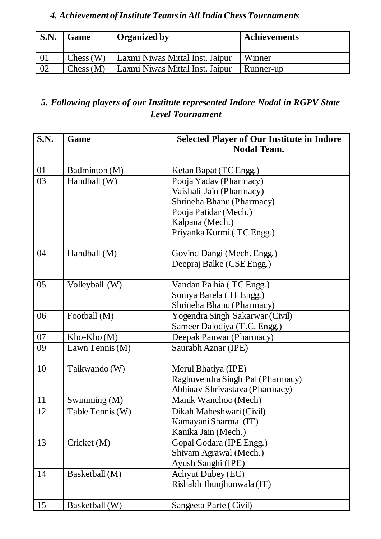## *4. Achievement of Institute Teams in All India Chess Tournaments*

| S.N. | Game     | <b>Organized by</b>             | <b>Achievements</b> |
|------|----------|---------------------------------|---------------------|
|      | Chess(W) | Laxmi Niwas Mittal Inst. Jaipur | Winner              |
| 02   | Chess(M) | Laxmi Niwas Mittal Inst. Jaipur | Runner-up           |

### *5. Following players of our Institute represented Indore Nodal in RGPV State Level Tournament*

| <b>S.N.</b> | Game             | <b>Selected Player of Our Institute in Indore</b><br><b>Nodal Team.</b> |  |
|-------------|------------------|-------------------------------------------------------------------------|--|
|             |                  |                                                                         |  |
| 01          | Badminton (M)    | Ketan Bapat (TC Engg.)                                                  |  |
| 03          | Handball (W)     | Pooja Yadav (Pharmacy)                                                  |  |
|             |                  | Vaishali Jain (Pharmacy)                                                |  |
|             |                  | Shrineha Bhanu (Pharmacy)                                               |  |
|             |                  | Pooja Patidar (Mech.)                                                   |  |
|             |                  | Kalpana (Mech.)                                                         |  |
|             |                  | Priyanka Kurmi (TC Engg.)                                               |  |
| 04          | Handball $(M)$   | Govind Dangi (Mech. Engg.)                                              |  |
|             |                  | Deepraj Balke (CSE Engg.)                                               |  |
| 05          | Volleyball (W)   | Vandan Palhia (TC Engg.)                                                |  |
|             |                  | Somya Barela (IT Engg.)                                                 |  |
|             |                  | Shrineha Bhanu (Pharmacy)                                               |  |
| 06          | Football (M)     | Yogendra Singh Sakarwar (Civil)                                         |  |
|             |                  | Sameer Dalodiya (T.C. Engg.)                                            |  |
| 07          | Kho-Kho(M)       | Deepak Panwar (Pharmacy)                                                |  |
| 09          | Lawn Tennis (M)  | Saurabh Aznar (IPE)                                                     |  |
| 10          | Taikwando (W)    | Merul Bhatiya (IPE)                                                     |  |
|             |                  | Raghuvendra Singh Pal (Pharmacy)                                        |  |
|             |                  | Abhinav Shrivastava (Pharmacy)                                          |  |
| 11          | Swimming (M)     | Manik Wanchoo (Mech)                                                    |  |
| 12          | Table Tennis (W) | Dikah Maheshwari (Civil)                                                |  |
|             |                  | Kamayani Sharma (IT)                                                    |  |
|             |                  | Kanika Jain (Mech.)                                                     |  |
| 13          | Cricket (M)      | Gopal Godara (IPE Engg.)                                                |  |
|             |                  | Shivam Agrawal (Mech.)                                                  |  |
|             |                  | Ayush Sanghi (IPE)                                                      |  |
| 14          | Basketball (M)   | <b>Achyut Dubey (EC)</b>                                                |  |
|             |                  | Rishabh Jhunjhunwala (IT)                                               |  |
| 15          | Basketball (W)   | Sangeeta Parte (Civil)                                                  |  |